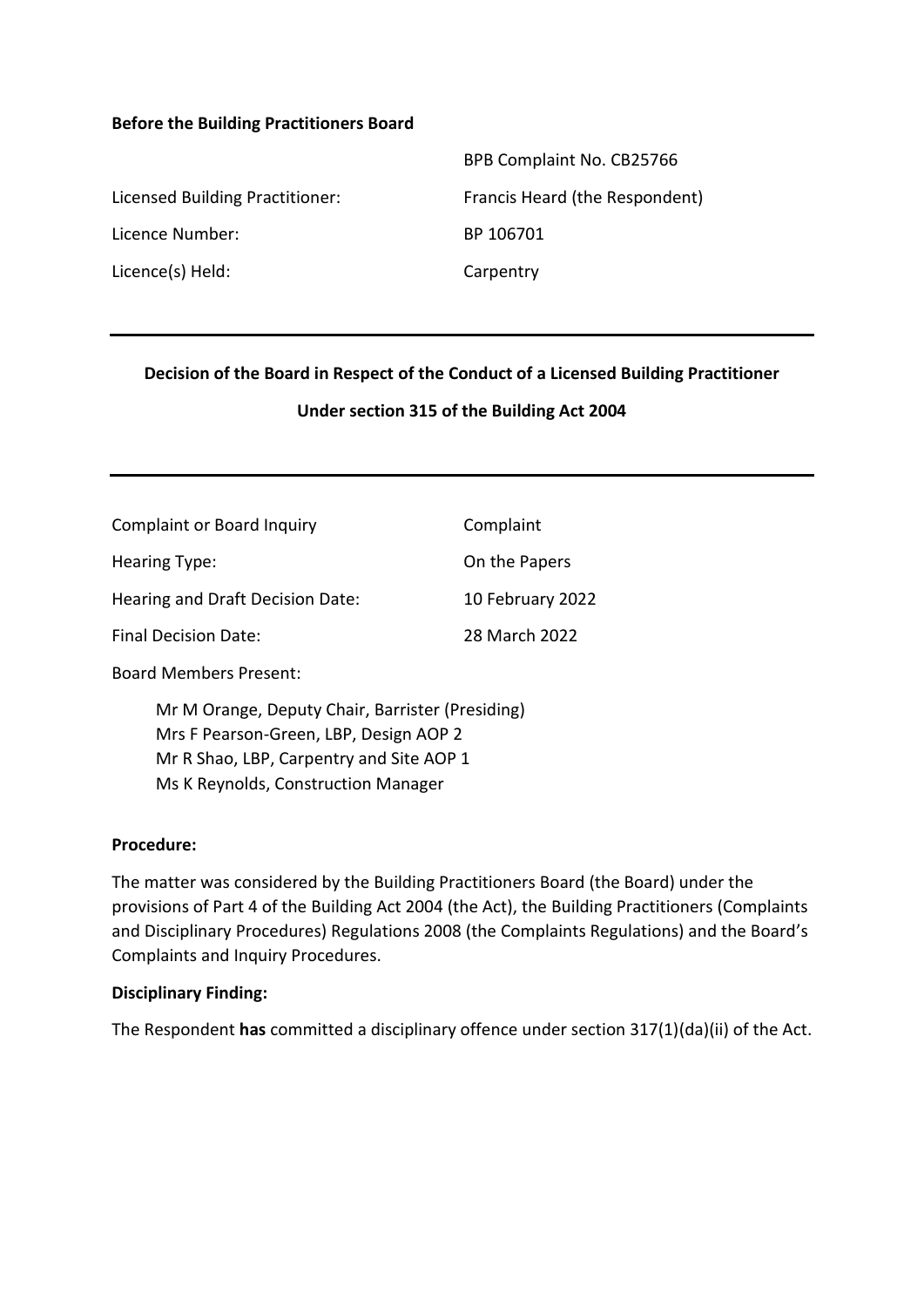#### **Before the Building Practitioners Board**

|                                 | BPB Complaint No. CB25766      |
|---------------------------------|--------------------------------|
| Licensed Building Practitioner: | Francis Heard (the Respondent) |
| Licence Number:                 | BP 106701                      |
| Licence(s) Held:                | Carpentry                      |

#### **Decision of the Board in Respect of the Conduct of a Licensed Building Practitioner**

#### **Under section 315 of the Building Act 2004**

| <b>Complaint or Board Inquiry</b> | Complaint        |
|-----------------------------------|------------------|
| Hearing Type:                     | On the Papers    |
| Hearing and Draft Decision Date:  | 10 February 2022 |
| <b>Final Decision Date:</b>       | 28 March 2022    |

Board Members Present:

Mr M Orange, Deputy Chair, Barrister (Presiding) Mrs F Pearson-Green, LBP, Design AOP 2 Mr R Shao, LBP, Carpentry and Site AOP 1 Ms K Reynolds, Construction Manager

#### **Procedure:**

The matter was considered by the Building Practitioners Board (the Board) under the provisions of Part 4 of the Building Act 2004 (the Act), the Building Practitioners (Complaints and Disciplinary Procedures) Regulations 2008 (the Complaints Regulations) and the Board's Complaints and Inquiry Procedures.

#### **Disciplinary Finding:**

The Respondent **has** committed a disciplinary offence under section 317(1)(da)(ii) of the Act.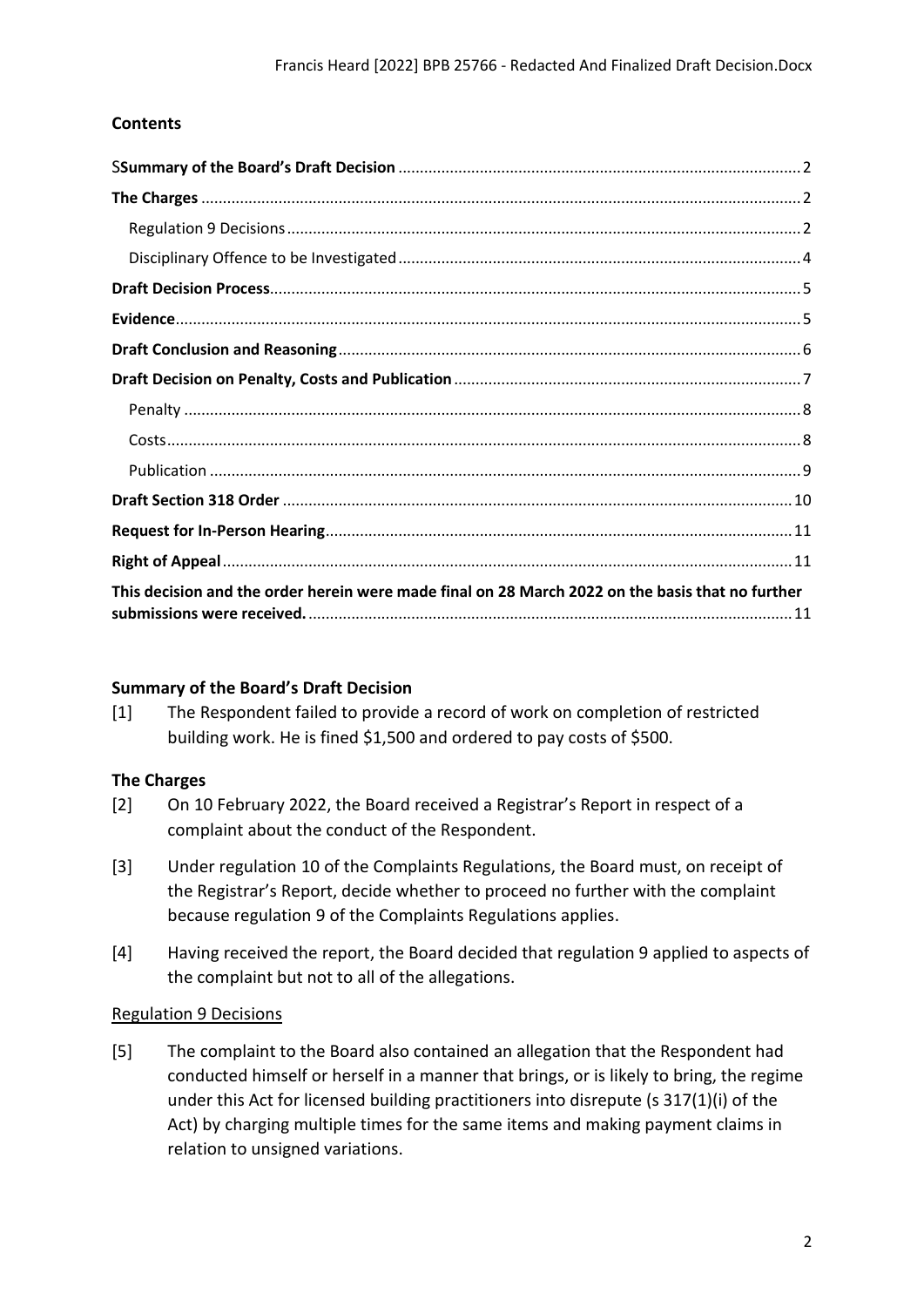### **Contents**

| This decision and the order herein were made final on 28 March 2022 on the basis that no further |  |
|--------------------------------------------------------------------------------------------------|--|

### <span id="page-1-0"></span>**Summary of the Board's Draft Decision**

[1] The Respondent failed to provide a record of work on completion of restricted building work. He is fined \$1,500 and ordered to pay costs of \$500.

### <span id="page-1-1"></span>**The Charges**

- [2] On 10 February 2022, the Board received a Registrar's Report in respect of a complaint about the conduct of the Respondent.
- [3] Under regulation 10 of the Complaints Regulations, the Board must, on receipt of the Registrar's Report, decide whether to proceed no further with the complaint because regulation 9 of the Complaints Regulations applies.
- [4] Having received the report, the Board decided that regulation 9 applied to aspects of the complaint but not to all of the allegations.

### <span id="page-1-2"></span>Regulation 9 Decisions

[5] The complaint to the Board also contained an allegation that the Respondent had conducted himself or herself in a manner that brings, or is likely to bring, the regime under this Act for licensed building practitioners into disrepute (s 317(1)(i) of the Act) by charging multiple times for the same items and making payment claims in relation to unsigned variations.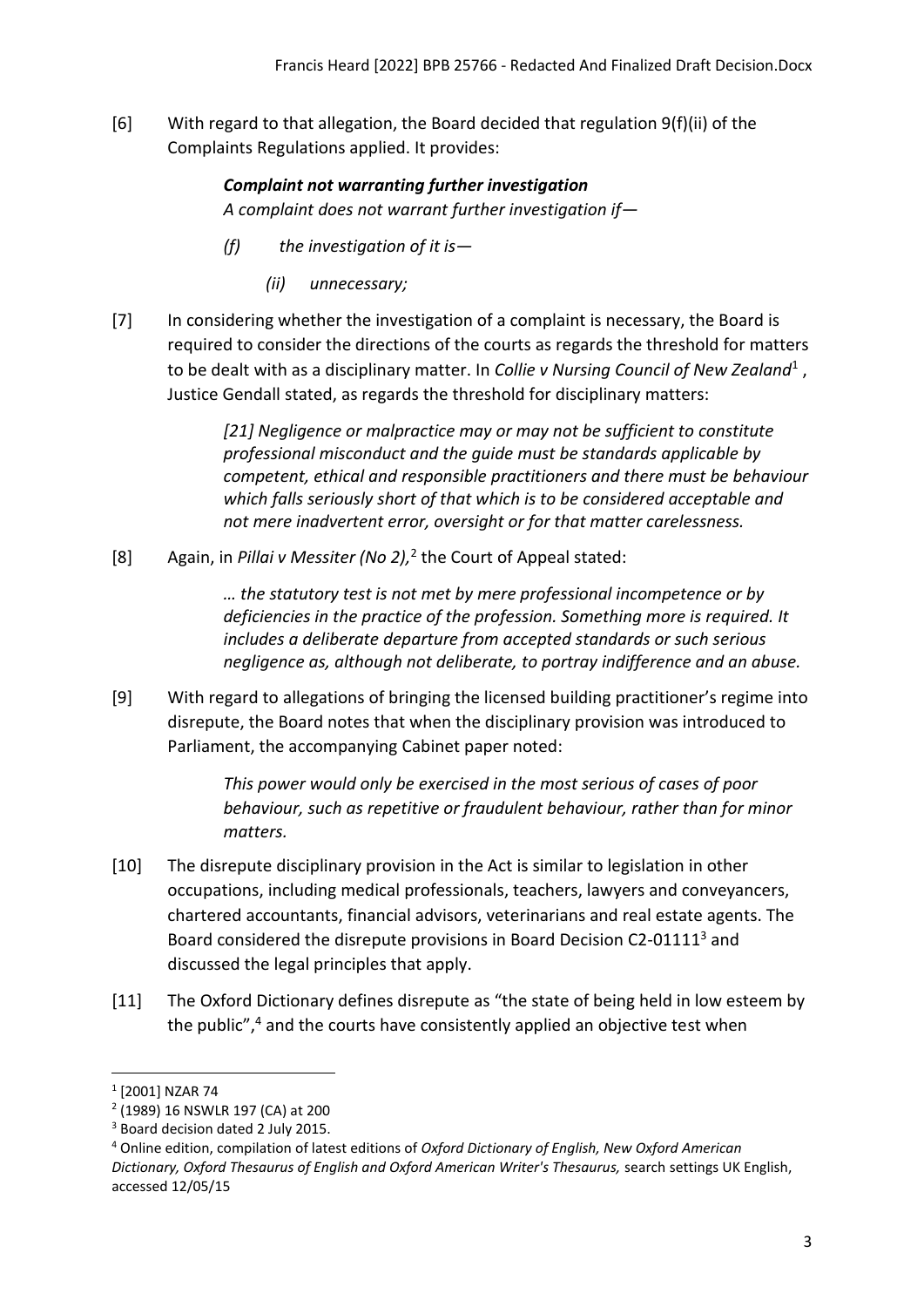[6] With regard to that allegation, the Board decided that regulation 9(f)(ii) of the Complaints Regulations applied. It provides:

> *Complaint not warranting further investigation A complaint does not warrant further investigation if—*

- *(f) the investigation of it is—*
	- *(ii) unnecessary;*
- [7] In considering whether the investigation of a complaint is necessary, the Board is required to consider the directions of the courts as regards the threshold for matters to be dealt with as a disciplinary matter. In *Collie v Nursing Council of New Zealand*<sup>1</sup>, Justice Gendall stated, as regards the threshold for disciplinary matters:

*[21] Negligence or malpractice may or may not be sufficient to constitute professional misconduct and the guide must be standards applicable by competent, ethical and responsible practitioners and there must be behaviour which falls seriously short of that which is to be considered acceptable and not mere inadvertent error, oversight or for that matter carelessness.*

[8] Again, in *Pillai v Messiter (No 2),* 2 the Court of Appeal stated:

*… the statutory test is not met by mere professional incompetence or by deficiencies in the practice of the profession. Something more is required. It includes a deliberate departure from accepted standards or such serious negligence as, although not deliberate, to portray indifference and an abuse.*

[9] With regard to allegations of bringing the licensed building practitioner's regime into disrepute, the Board notes that when the disciplinary provision was introduced to Parliament, the accompanying Cabinet paper noted:

> *This power would only be exercised in the most serious of cases of poor behaviour, such as repetitive or fraudulent behaviour, rather than for minor matters.*

- [10] The disrepute disciplinary provision in the Act is similar to legislation in other occupations, including medical professionals, teachers, lawyers and conveyancers, chartered accountants, financial advisors, veterinarians and real estate agents. The Board considered the disrepute provisions in Board Decision C2-01111<sup>3</sup> and discussed the legal principles that apply.
- [11] The Oxford Dictionary defines disrepute as "the state of being held in low esteem by the public",<sup>4</sup> and the courts have consistently applied an objective test when

<sup>1</sup> [2001] NZAR 74

<sup>2</sup> (1989) 16 NSWLR 197 (CA) at 200

<sup>&</sup>lt;sup>3</sup> Board decision dated 2 July 2015.

<sup>4</sup> Online edition, compilation of latest editions of *Oxford Dictionary of English, New Oxford American Dictionary, Oxford Thesaurus of English and Oxford American Writer's Thesaurus,* search settings UK English, accessed 12/05/15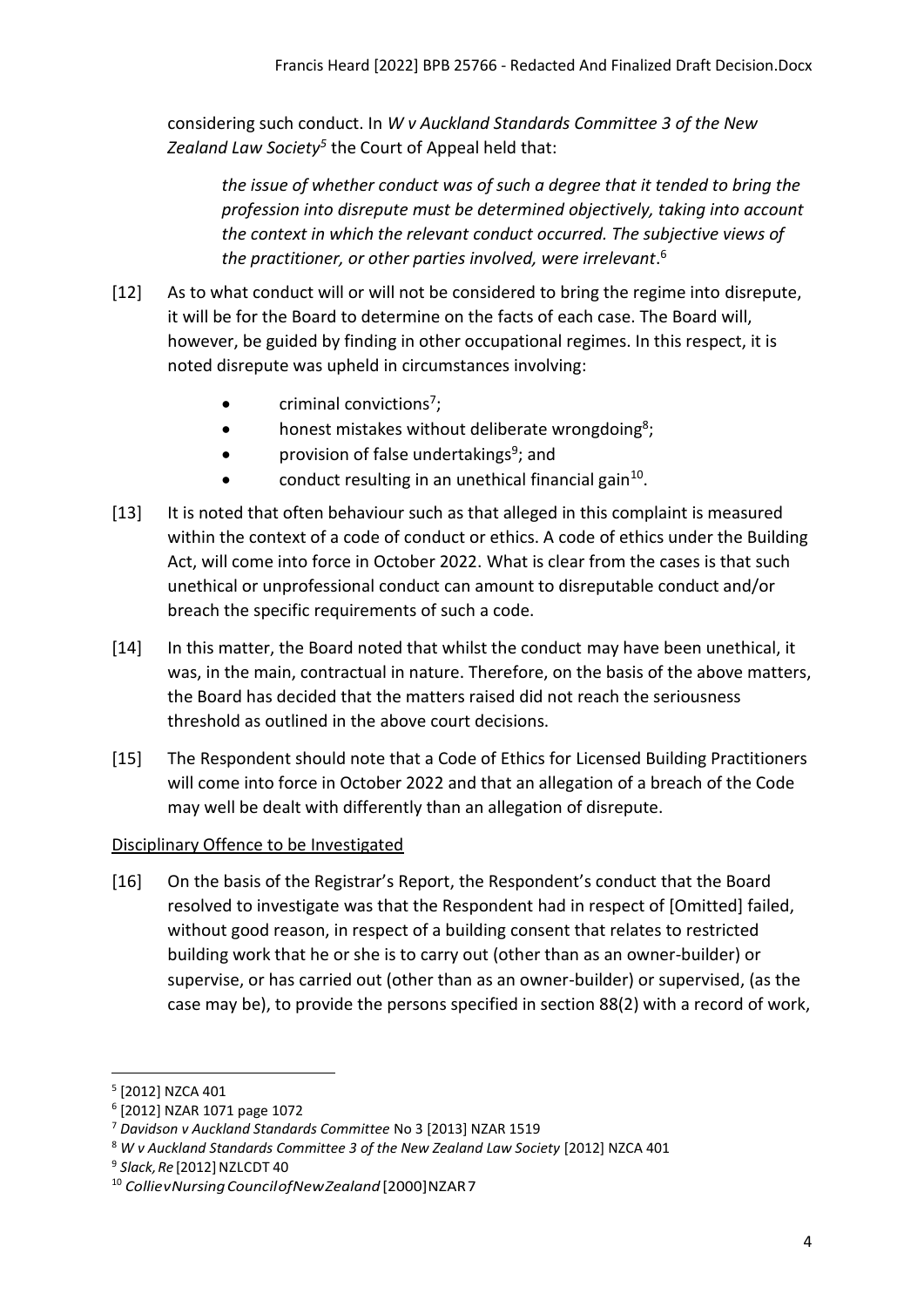considering such conduct. In *W v Auckland Standards Committee 3 of the New Zealand Law Society<sup>5</sup>* the Court of Appeal held that:

*the issue of whether conduct was of such a degree that it tended to bring the profession into disrepute must be determined objectively, taking into account the context in which the relevant conduct occurred. The subjective views of the practitioner, or other parties involved, were irrelevant*. 6

- [12] As to what conduct will or will not be considered to bring the regime into disrepute, it will be for the Board to determine on the facts of each case. The Board will, however, be guided by finding in other occupational regimes. In this respect, it is noted disrepute was upheld in circumstances involving:
	- $\bullet$  criminal convictions<sup>7</sup>;
	- honest mistakes without deliberate wrongdoing<sup>8</sup>;
	- provision of false undertakings<sup>9</sup>; and
	- $\bullet$  conduct resulting in an unethical financial gain<sup>10</sup>.
- [13] It is noted that often behaviour such as that alleged in this complaint is measured within the context of a code of conduct or ethics. A code of ethics under the Building Act, will come into force in October 2022. What is clear from the cases is that such unethical or unprofessional conduct can amount to disreputable conduct and/or breach the specific requirements of such a code.
- [14] In this matter, the Board noted that whilst the conduct may have been unethical, it was, in the main, contractual in nature. Therefore, on the basis of the above matters, the Board has decided that the matters raised did not reach the seriousness threshold as outlined in the above court decisions.
- [15] The Respondent should note that a Code of Ethics for Licensed Building Practitioners will come into force in October 2022 and that an allegation of a breach of the Code may well be dealt with differently than an allegation of disrepute.

## <span id="page-3-0"></span>Disciplinary Offence to be Investigated

[16] On the basis of the Registrar's Report, the Respondent's conduct that the Board resolved to investigate was that the Respondent had in respect of [Omitted] failed, without good reason, in respect of a building consent that relates to restricted building work that he or she is to carry out (other than as an owner-builder) or supervise, or has carried out (other than as an owner-builder) or supervised, (as the case may be), to provide the persons specified in section 88(2) with a record of work,

<sup>5</sup> [2012] NZCA 401

<sup>6</sup> [2012] NZAR 1071 page 1072

<sup>7</sup> *Davidson v Auckland Standards Committee* No 3 [2013] NZAR 1519

<sup>&</sup>lt;sup>8</sup> W v Auckland Standards Committee 3 of the New Zealand Law Society [2012] NZCA 401

<sup>&</sup>lt;sup>9</sup> Slack, Re [2012] NZLCDT 40

<sup>10</sup> *CollievNursingCouncilofNewZealand* [2000]NZAR7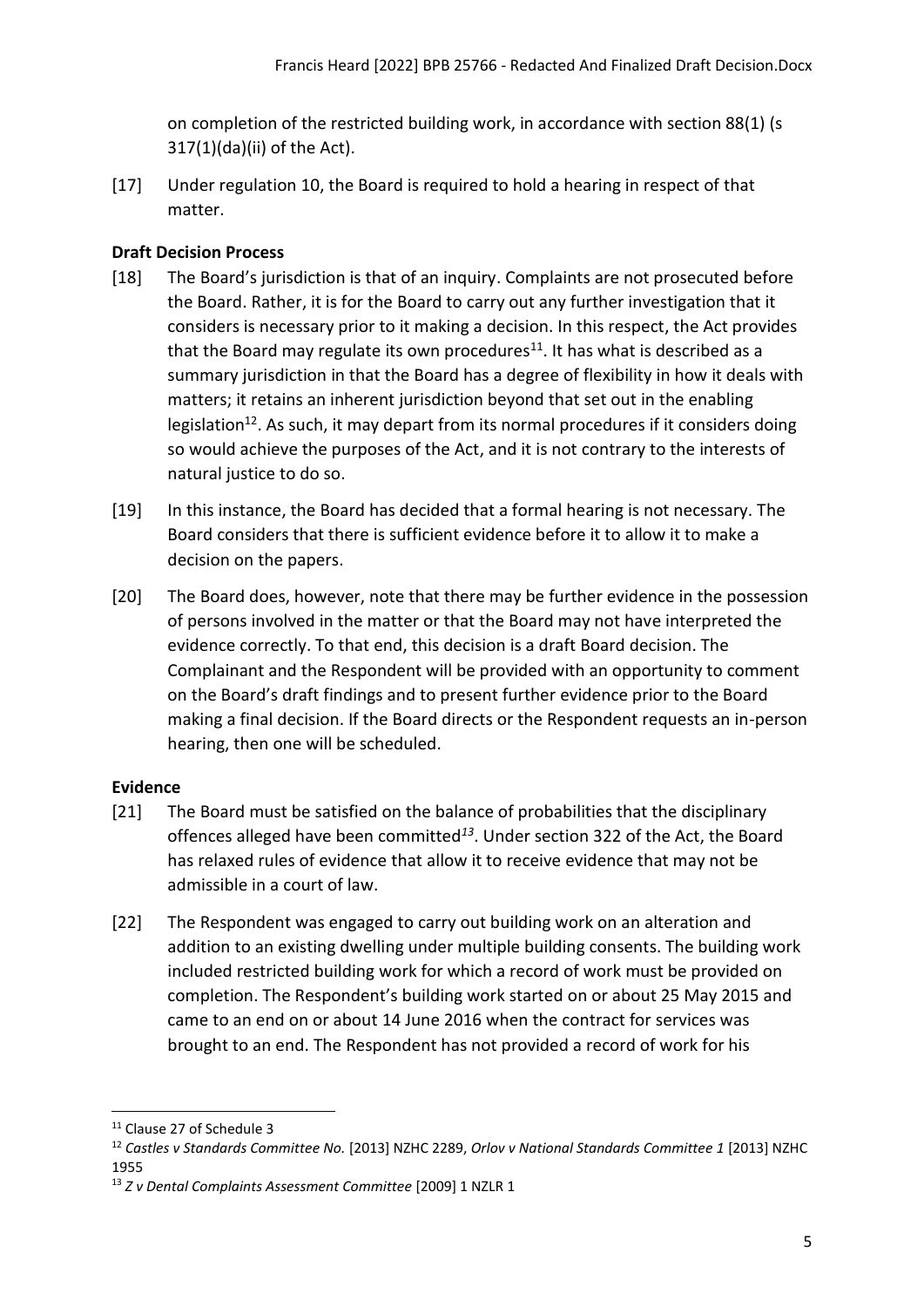on completion of the restricted building work, in accordance with section 88(1) (s 317(1)(da)(ii) of the Act).

[17] Under regulation 10, the Board is required to hold a hearing in respect of that matter.

## <span id="page-4-0"></span>**Draft Decision Process**

- [18] The Board's jurisdiction is that of an inquiry. Complaints are not prosecuted before the Board. Rather, it is for the Board to carry out any further investigation that it considers is necessary prior to it making a decision. In this respect, the Act provides that the Board may regulate its own procedures<sup>11</sup>. It has what is described as a summary jurisdiction in that the Board has a degree of flexibility in how it deals with matters; it retains an inherent jurisdiction beyond that set out in the enabling legislation<sup>12</sup>. As such, it may depart from its normal procedures if it considers doing so would achieve the purposes of the Act, and it is not contrary to the interests of natural justice to do so.
- [19] In this instance, the Board has decided that a formal hearing is not necessary. The Board considers that there is sufficient evidence before it to allow it to make a decision on the papers.
- [20] The Board does, however, note that there may be further evidence in the possession of persons involved in the matter or that the Board may not have interpreted the evidence correctly. To that end, this decision is a draft Board decision. The Complainant and the Respondent will be provided with an opportunity to comment on the Board's draft findings and to present further evidence prior to the Board making a final decision. If the Board directs or the Respondent requests an in-person hearing, then one will be scheduled.

# <span id="page-4-1"></span>**Evidence**

- [21] The Board must be satisfied on the balance of probabilities that the disciplinary offences alleged have been committed*<sup>13</sup>* . Under section 322 of the Act, the Board has relaxed rules of evidence that allow it to receive evidence that may not be admissible in a court of law.
- [22] The Respondent was engaged to carry out building work on an alteration and addition to an existing dwelling under multiple building consents. The building work included restricted building work for which a record of work must be provided on completion. The Respondent's building work started on or about 25 May 2015 and came to an end on or about 14 June 2016 when the contract for services was brought to an end. The Respondent has not provided a record of work for his

<sup>&</sup>lt;sup>11</sup> Clause 27 of Schedule 3

<sup>12</sup> *Castles v Standards Committee No.* [2013] NZHC 2289, *Orlov v National Standards Committee 1* [2013] NZHC 1955

<sup>13</sup> *Z v Dental Complaints Assessment Committee* [2009] 1 NZLR 1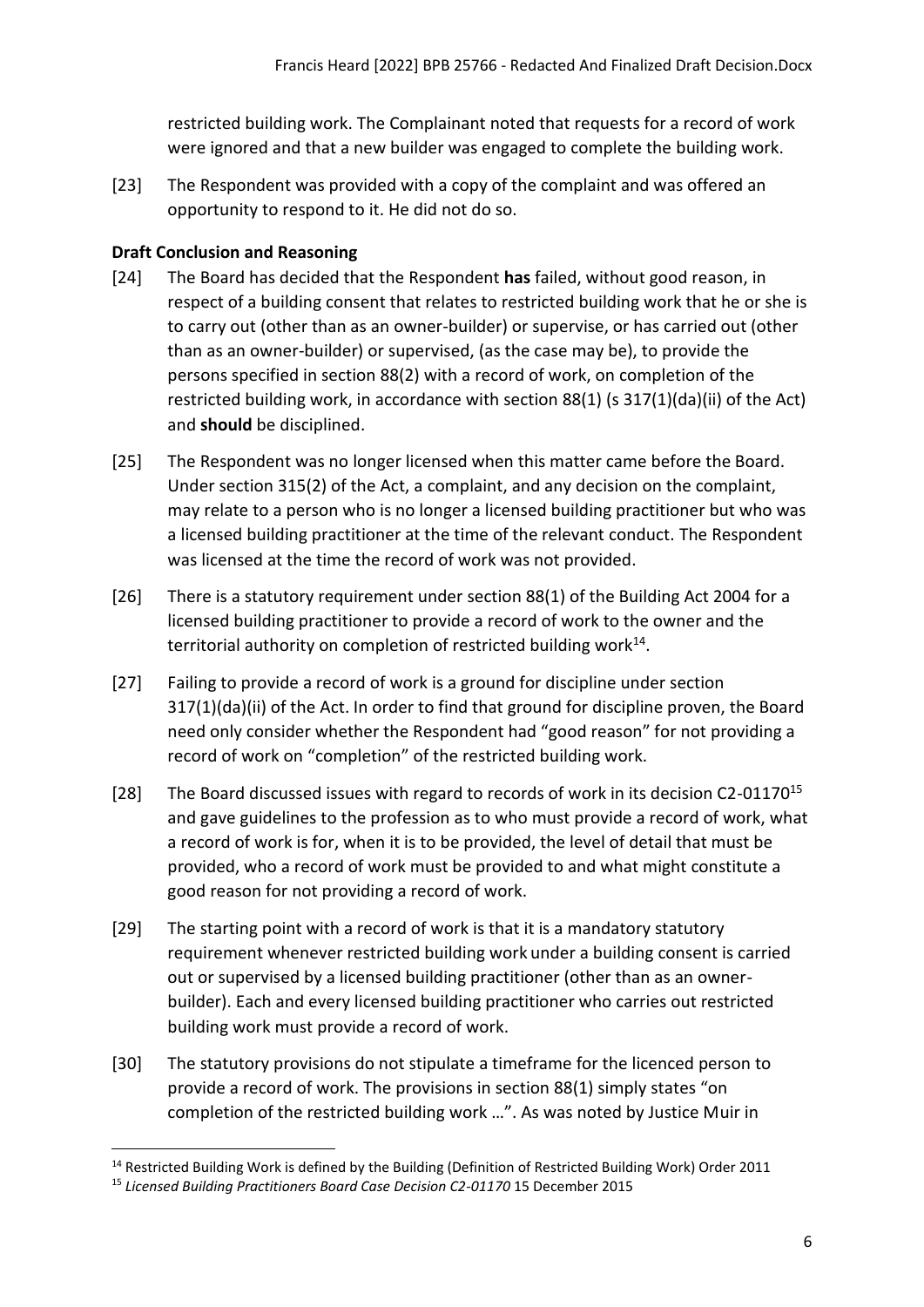restricted building work. The Complainant noted that requests for a record of work were ignored and that a new builder was engaged to complete the building work.

[23] The Respondent was provided with a copy of the complaint and was offered an opportunity to respond to it. He did not do so.

### <span id="page-5-0"></span>**Draft Conclusion and Reasoning**

- [24] The Board has decided that the Respondent **has** failed, without good reason, in respect of a building consent that relates to restricted building work that he or she is to carry out (other than as an owner-builder) or supervise, or has carried out (other than as an owner-builder) or supervised, (as the case may be), to provide the persons specified in section 88(2) with a record of work, on completion of the restricted building work, in accordance with section 88(1) (s 317(1)(da)(ii) of the Act) and **should** be disciplined.
- [25] The Respondent was no longer licensed when this matter came before the Board. Under section 315(2) of the Act, a complaint, and any decision on the complaint, may relate to a person who is no longer a licensed building practitioner but who was a licensed building practitioner at the time of the relevant conduct. The Respondent was licensed at the time the record of work was not provided.
- [26] There is a statutory requirement under section 88(1) of the Building Act 2004 for a licensed building practitioner to provide a record of work to the owner and the territorial authority on completion of restricted building work<sup>14</sup>.
- [27] Failing to provide a record of work is a ground for discipline under section 317(1)(da)(ii) of the Act. In order to find that ground for discipline proven, the Board need only consider whether the Respondent had "good reason" for not providing a record of work on "completion" of the restricted building work.
- [28] The Board discussed issues with regard to records of work in its decision C2-01170<sup>15</sup> and gave guidelines to the profession as to who must provide a record of work, what a record of work is for, when it is to be provided, the level of detail that must be provided, who a record of work must be provided to and what might constitute a good reason for not providing a record of work.
- [29] The starting point with a record of work is that it is a mandatory statutory requirement whenever restricted building work under a building consent is carried out or supervised by a licensed building practitioner (other than as an ownerbuilder). Each and every licensed building practitioner who carries out restricted building work must provide a record of work.
- [30] The statutory provisions do not stipulate a timeframe for the licenced person to provide a record of work. The provisions in section 88(1) simply states "on completion of the restricted building work …". As was noted by Justice Muir in

<sup>14</sup> Restricted Building Work is defined by the Building (Definition of Restricted Building Work) Order 2011

<sup>&</sup>lt;sup>15</sup> Licensed Building Practitioners Board Case Decision C2-01170 15 December 2015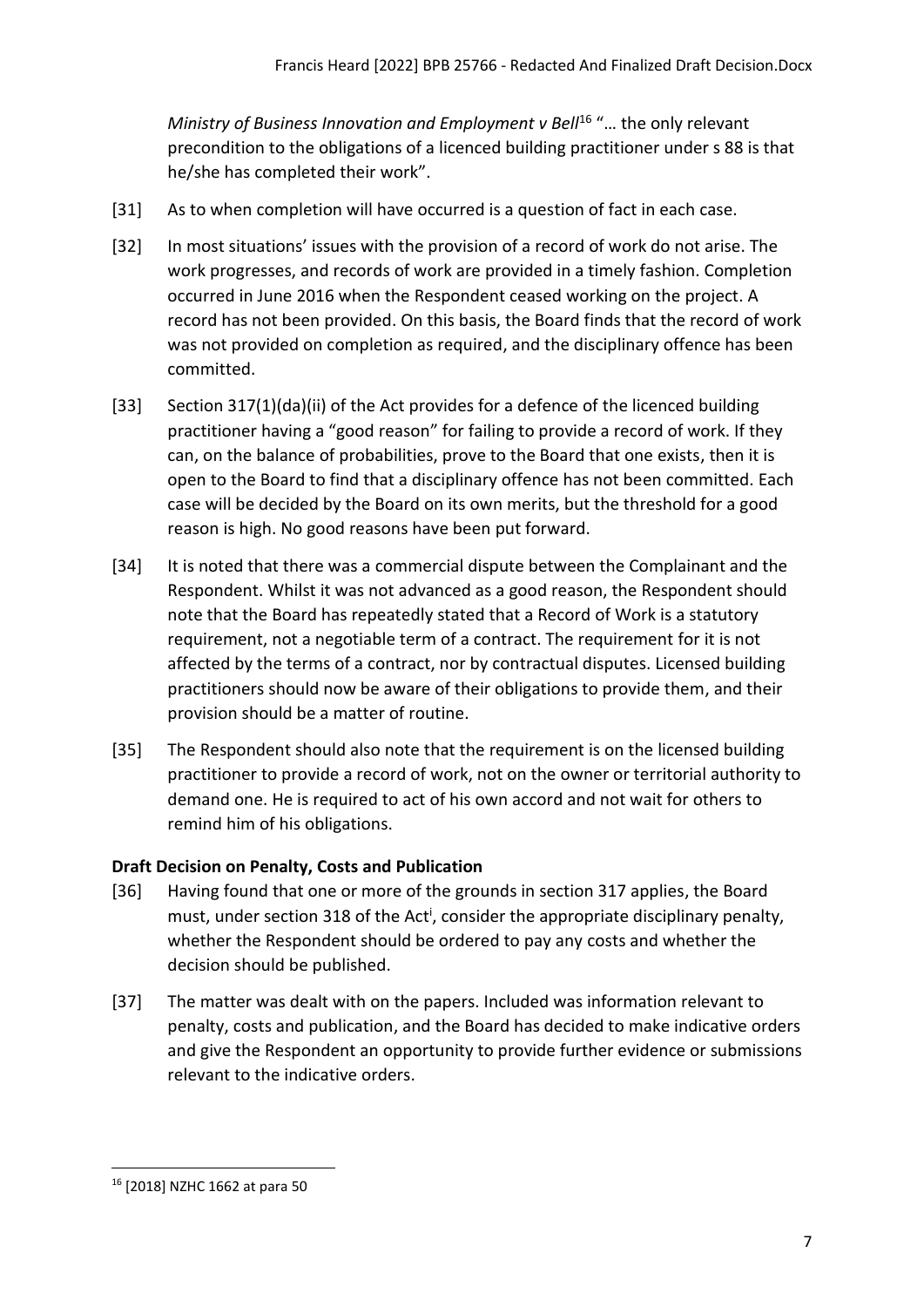*Ministry of Business Innovation and Employment v Bell<sup>16</sup> "... the only relevant* precondition to the obligations of a licenced building practitioner under s 88 is that he/she has completed their work".

- [31] As to when completion will have occurred is a question of fact in each case.
- [32] In most situations' issues with the provision of a record of work do not arise. The work progresses, and records of work are provided in a timely fashion. Completion occurred in June 2016 when the Respondent ceased working on the project. A record has not been provided. On this basis, the Board finds that the record of work was not provided on completion as required, and the disciplinary offence has been committed.
- [33] Section 317(1)(da)(ii) of the Act provides for a defence of the licenced building practitioner having a "good reason" for failing to provide a record of work. If they can, on the balance of probabilities, prove to the Board that one exists, then it is open to the Board to find that a disciplinary offence has not been committed. Each case will be decided by the Board on its own merits, but the threshold for a good reason is high. No good reasons have been put forward.
- [34] It is noted that there was a commercial dispute between the Complainant and the Respondent. Whilst it was not advanced as a good reason, the Respondent should note that the Board has repeatedly stated that a Record of Work is a statutory requirement, not a negotiable term of a contract. The requirement for it is not affected by the terms of a contract, nor by contractual disputes. Licensed building practitioners should now be aware of their obligations to provide them, and their provision should be a matter of routine.
- [35] The Respondent should also note that the requirement is on the licensed building practitioner to provide a record of work, not on the owner or territorial authority to demand one. He is required to act of his own accord and not wait for others to remind him of his obligations.

## <span id="page-6-0"></span>**Draft Decision on Penalty, Costs and Publication**

- [36] Having found that one or more of the grounds in section 317 applies, the Board must, under section 318 of the Act<sup>i</sup>, consider the appropriate disciplinary penalty, whether the Respondent should be ordered to pay any costs and whether the decision should be published.
- [37] The matter was dealt with on the papers. Included was information relevant to penalty, costs and publication, and the Board has decided to make indicative orders and give the Respondent an opportunity to provide further evidence or submissions relevant to the indicative orders.

<sup>16</sup> [2018] NZHC 1662 at para 50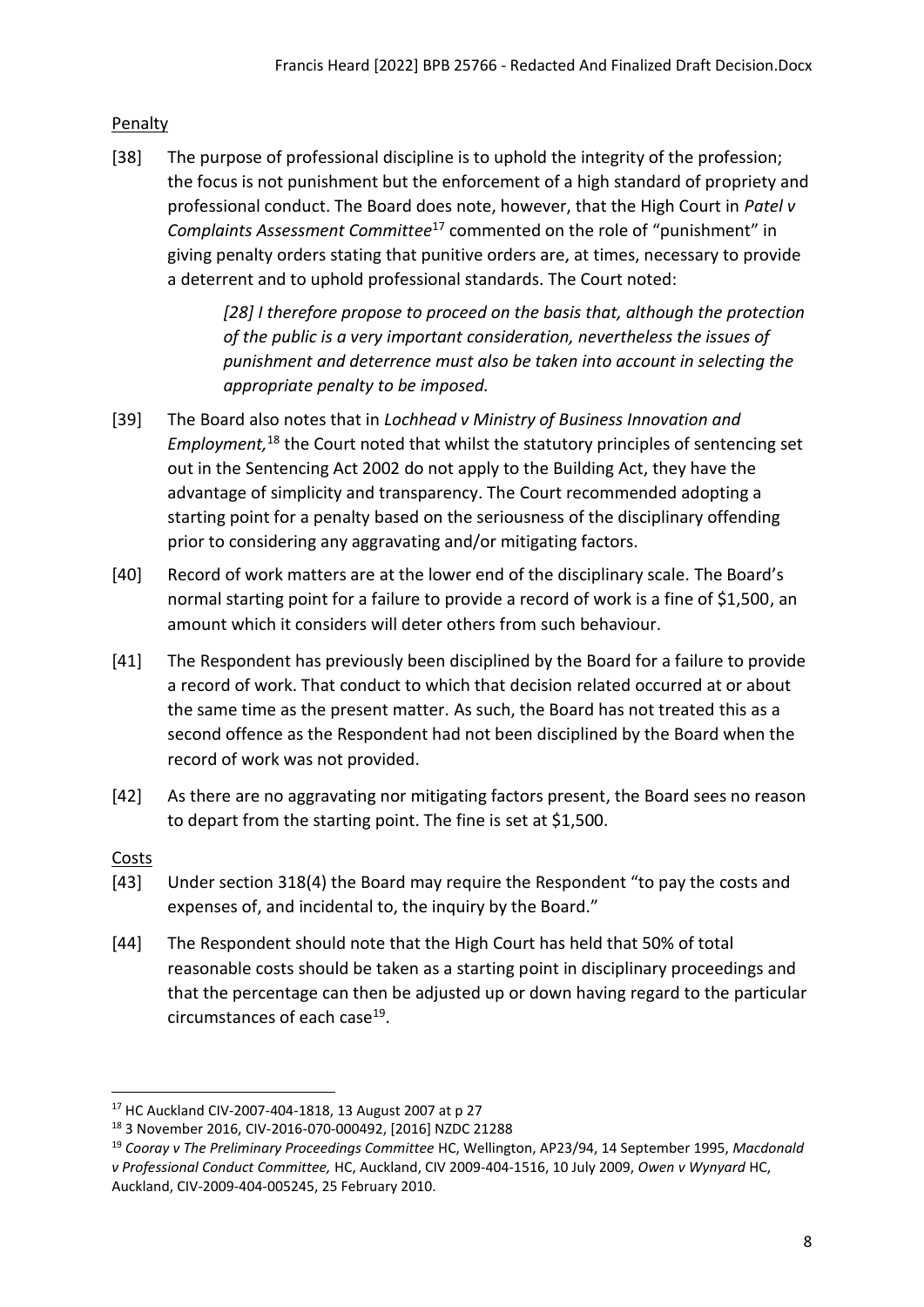## <span id="page-7-0"></span>Penalty

[38] The purpose of professional discipline is to uphold the integrity of the profession; the focus is not punishment but the enforcement of a high standard of propriety and professional conduct. The Board does note, however, that the High Court in *Patel v Complaints Assessment Committee*<sup>17</sup> commented on the role of "punishment" in giving penalty orders stating that punitive orders are, at times, necessary to provide a deterrent and to uphold professional standards. The Court noted:

> *[28] I therefore propose to proceed on the basis that, although the protection of the public is a very important consideration, nevertheless the issues of punishment and deterrence must also be taken into account in selecting the appropriate penalty to be imposed.*

- [39] The Board also notes that in *Lochhead v Ministry of Business Innovation and Employment,* <sup>18</sup> the Court noted that whilst the statutory principles of sentencing set out in the Sentencing Act 2002 do not apply to the Building Act, they have the advantage of simplicity and transparency. The Court recommended adopting a starting point for a penalty based on the seriousness of the disciplinary offending prior to considering any aggravating and/or mitigating factors.
- [40] Record of work matters are at the lower end of the disciplinary scale. The Board's normal starting point for a failure to provide a record of work is a fine of \$1,500, an amount which it considers will deter others from such behaviour.
- [41] The Respondent has previously been disciplined by the Board for a failure to provide a record of work. That conduct to which that decision related occurred at or about the same time as the present matter. As such, the Board has not treated this as a second offence as the Respondent had not been disciplined by the Board when the record of work was not provided.
- [42] As there are no aggravating nor mitigating factors present, the Board sees no reason to depart from the starting point. The fine is set at \$1,500.

## <span id="page-7-1"></span>Costs

- [43] Under section 318(4) the Board may require the Respondent "to pay the costs and expenses of, and incidental to, the inquiry by the Board."
- [44] The Respondent should note that the High Court has held that 50% of total reasonable costs should be taken as a starting point in disciplinary proceedings and that the percentage can then be adjusted up or down having regard to the particular circumstances of each case<sup>19</sup>.

<sup>17</sup> HC Auckland CIV-2007-404-1818, 13 August 2007 at p 27

<sup>18</sup> 3 November 2016, CIV-2016-070-000492, [2016] NZDC 21288

<sup>19</sup> *Cooray v The Preliminary Proceedings Committee* HC, Wellington, AP23/94, 14 September 1995, *Macdonald v Professional Conduct Committee,* HC, Auckland, CIV 2009-404-1516, 10 July 2009, *Owen v Wynyard* HC, Auckland, CIV-2009-404-005245, 25 February 2010.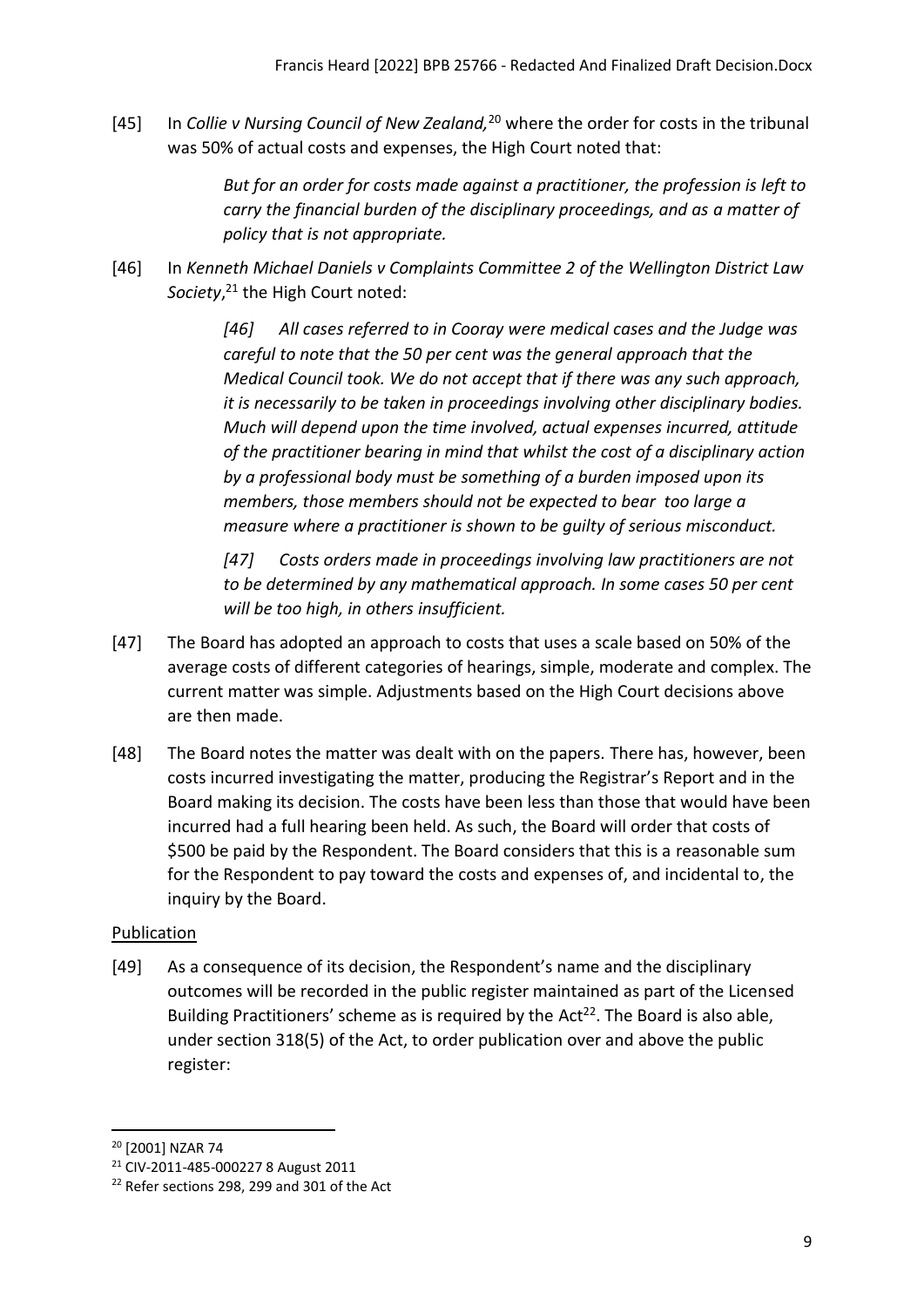[45] In *Collie v Nursing Council of New Zealand,*<sup>20</sup> where the order for costs in the tribunal was 50% of actual costs and expenses, the High Court noted that:

> *But for an order for costs made against a practitioner, the profession is left to carry the financial burden of the disciplinary proceedings, and as a matter of policy that is not appropriate.*

[46] In *Kenneth Michael Daniels v Complaints Committee 2 of the Wellington District Law Society*, <sup>21</sup> the High Court noted:

> *[46] All cases referred to in Cooray were medical cases and the Judge was careful to note that the 50 per cent was the general approach that the Medical Council took. We do not accept that if there was any such approach, it is necessarily to be taken in proceedings involving other disciplinary bodies. Much will depend upon the time involved, actual expenses incurred, attitude of the practitioner bearing in mind that whilst the cost of a disciplinary action by a professional body must be something of a burden imposed upon its members, those members should not be expected to bear too large a measure where a practitioner is shown to be guilty of serious misconduct.*

*[47] Costs orders made in proceedings involving law practitioners are not to be determined by any mathematical approach. In some cases 50 per cent will be too high, in others insufficient.*

- [47] The Board has adopted an approach to costs that uses a scale based on 50% of the average costs of different categories of hearings, simple, moderate and complex. The current matter was simple. Adjustments based on the High Court decisions above are then made.
- [48] The Board notes the matter was dealt with on the papers. There has, however, been costs incurred investigating the matter, producing the Registrar's Report and in the Board making its decision. The costs have been less than those that would have been incurred had a full hearing been held. As such, the Board will order that costs of \$500 be paid by the Respondent. The Board considers that this is a reasonable sum for the Respondent to pay toward the costs and expenses of, and incidental to, the inquiry by the Board.

## <span id="page-8-0"></span>**Publication**

[49] As a consequence of its decision, the Respondent's name and the disciplinary outcomes will be recorded in the public register maintained as part of the Licensed Building Practitioners' scheme as is required by the Act<sup>22</sup>. The Board is also able, under section 318(5) of the Act, to order publication over and above the public register:

<sup>20</sup> [2001] NZAR 74

<sup>21</sup> CIV-2011-485-000227 8 August 2011

<sup>&</sup>lt;sup>22</sup> Refer sections 298, 299 and 301 of the Act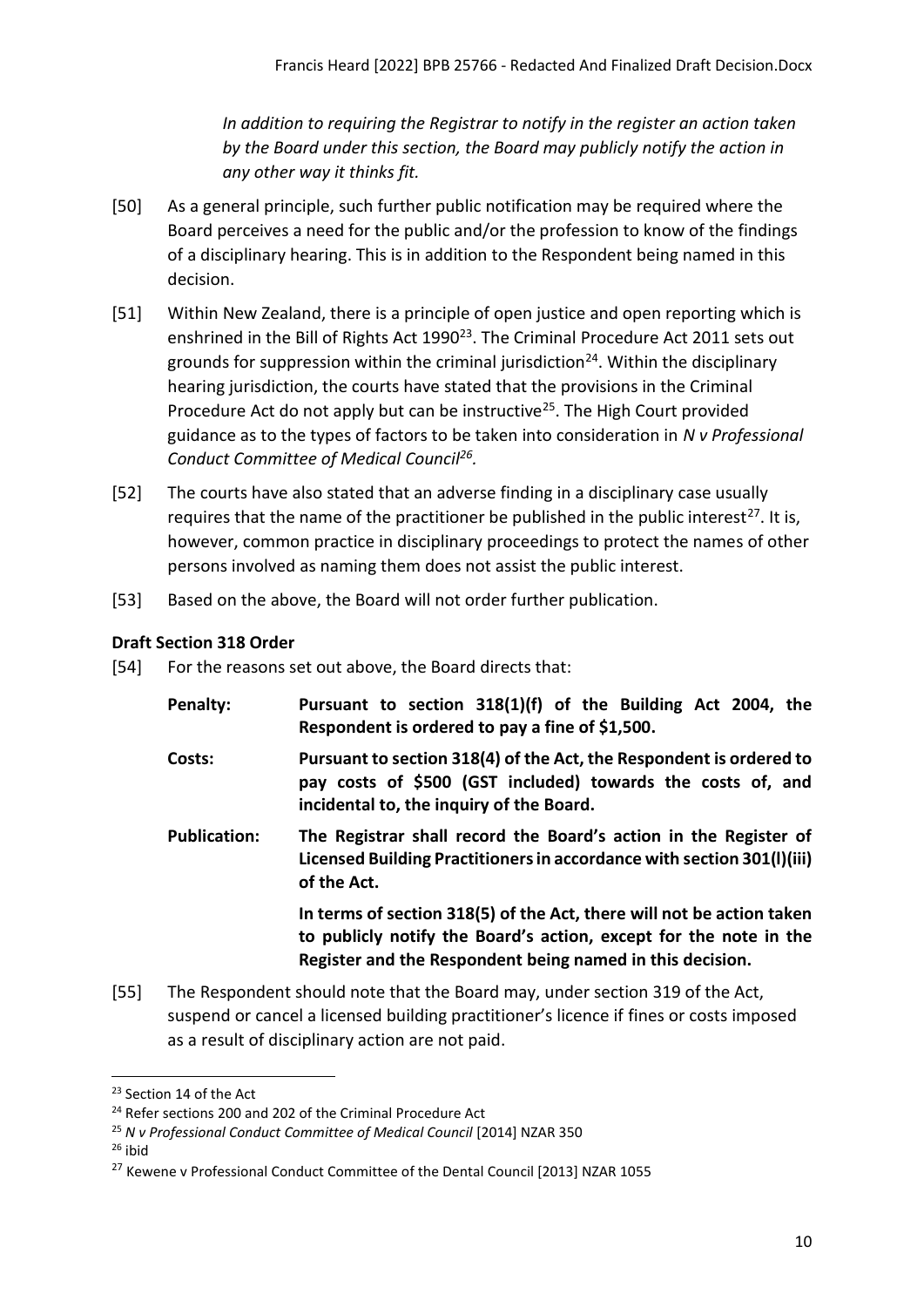*In addition to requiring the Registrar to notify in the register an action taken by the Board under this section, the Board may publicly notify the action in any other way it thinks fit.*

- [50] As a general principle, such further public notification may be required where the Board perceives a need for the public and/or the profession to know of the findings of a disciplinary hearing. This is in addition to the Respondent being named in this decision.
- [51] Within New Zealand, there is a principle of open justice and open reporting which is enshrined in the Bill of Rights Act 1990<sup>23</sup>. The Criminal Procedure Act 2011 sets out grounds for suppression within the criminal jurisdiction<sup>24</sup>. Within the disciplinary hearing jurisdiction, the courts have stated that the provisions in the Criminal Procedure Act do not apply but can be instructive<sup>25</sup>. The High Court provided guidance as to the types of factors to be taken into consideration in *N v Professional Conduct Committee of Medical Council<sup>26</sup> .*
- [52] The courts have also stated that an adverse finding in a disciplinary case usually requires that the name of the practitioner be published in the public interest<sup>27</sup>. It is, however, common practice in disciplinary proceedings to protect the names of other persons involved as naming them does not assist the public interest.
- [53] Based on the above, the Board will not order further publication.

## <span id="page-9-0"></span>**Draft Section 318 Order**

[54] For the reasons set out above, the Board directs that:

| Penalty:            | Pursuant to section 318(1)(f) of the Building Act 2004, the<br>Respondent is ordered to pay a fine of \$1,500.                                                                                          |
|---------------------|---------------------------------------------------------------------------------------------------------------------------------------------------------------------------------------------------------|
| Costs:              | Pursuant to section 318(4) of the Act, the Respondent is ordered to<br>pay costs of \$500 (GST included) towards the costs of, and<br>incidental to, the inquiry of the Board.                          |
| <b>Publication:</b> | The Registrar shall record the Board's action in the Register of<br>Licensed Building Practitioners in accordance with section 301(I)(iii)<br>of the Act.                                               |
|                     | In terms of section 318(5) of the Act, there will not be action taken<br>to publicly notify the Board's action, except for the note in the<br>Register and the Respondent being named in this decision. |

[55] The Respondent should note that the Board may, under section 319 of the Act, suspend or cancel a licensed building practitioner's licence if fines or costs imposed as a result of disciplinary action are not paid.

 $26$  ibid

<sup>&</sup>lt;sup>23</sup> Section 14 of the Act

<sup>&</sup>lt;sup>24</sup> Refer sections 200 and 202 of the Criminal Procedure Act

<sup>25</sup> *N v Professional Conduct Committee of Medical Council* [2014] NZAR 350

<sup>&</sup>lt;sup>27</sup> Kewene v Professional Conduct Committee of the Dental Council [2013] NZAR 1055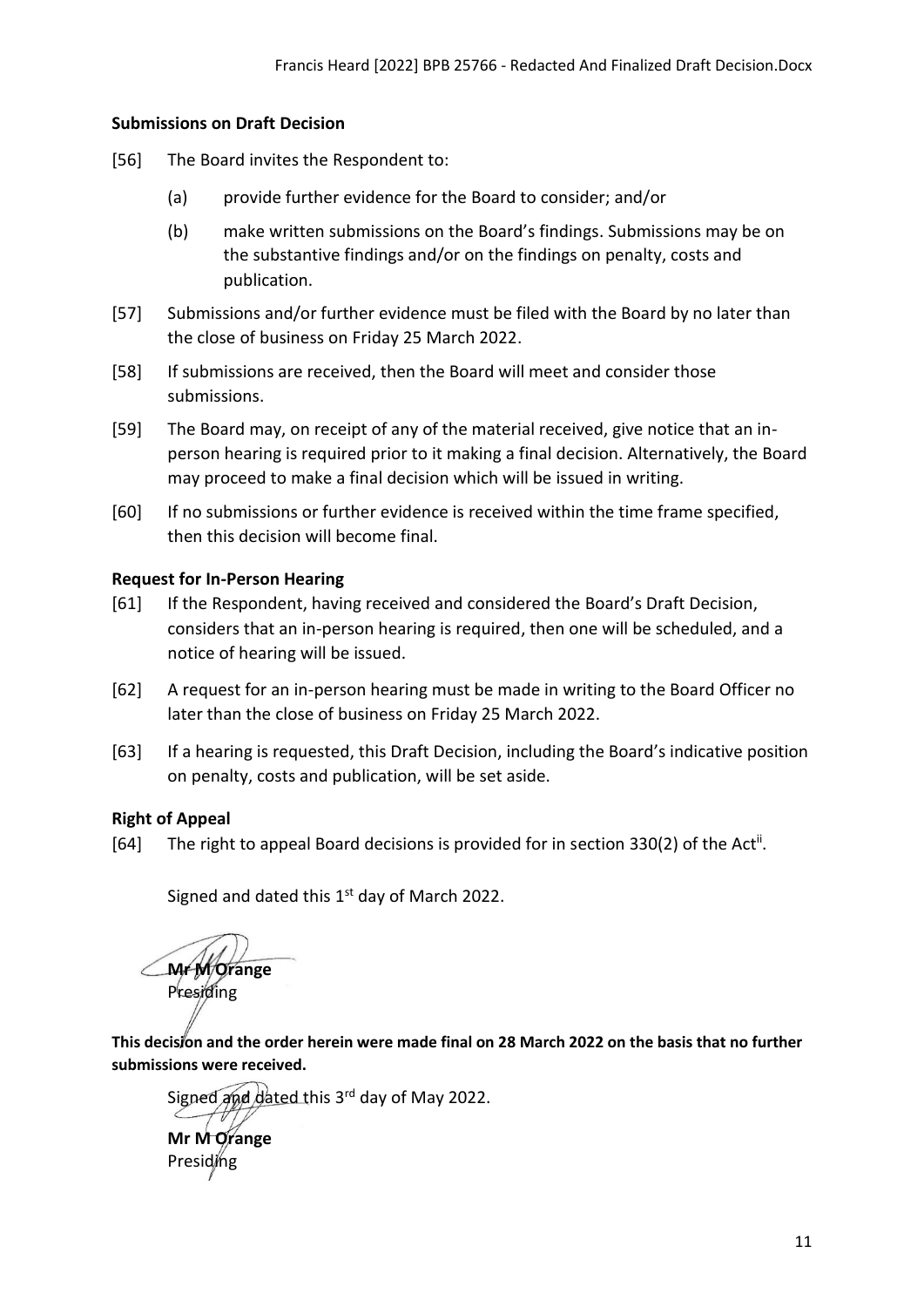#### **Submissions on Draft Decision**

- [56] The Board invites the Respondent to:
	- (a) provide further evidence for the Board to consider; and/or
	- (b) make written submissions on the Board's findings. Submissions may be on the substantive findings and/or on the findings on penalty, costs and publication.
- [57] Submissions and/or further evidence must be filed with the Board by no later than the close of business on Friday 25 March 2022.
- [58] If submissions are received, then the Board will meet and consider those submissions.
- [59] The Board may, on receipt of any of the material received, give notice that an inperson hearing is required prior to it making a final decision. Alternatively, the Board may proceed to make a final decision which will be issued in writing.
- [60] If no submissions or further evidence is received within the time frame specified, then this decision will become final.

### <span id="page-10-0"></span>**Request for In-Person Hearing**

- [61] If the Respondent, having received and considered the Board's Draft Decision, considers that an in-person hearing is required, then one will be scheduled, and a notice of hearing will be issued.
- [62] A request for an in-person hearing must be made in writing to the Board Officer no later than the close of business on Friday 25 March 2022.
- [63] If a hearing is requested, this Draft Decision, including the Board's indicative position on penalty, costs and publication, will be set aside.

### <span id="page-10-1"></span>**Right of Appeal**

[64] The right to appeal Board decisions is provided for in section 330(2) of the Act<sup>ii</sup>.

Signed and dated this  $1<sup>st</sup>$  day of March 2022.

**Mr M Orange**  Presiding

**Presiding** 

<span id="page-10-2"></span>**This decision and the order herein were made final on 28 March 2022 on the basis that no further submissions were received.**

Signed and dated this 3<sup>rd</sup> day of May 2022. **Mr M Orange**